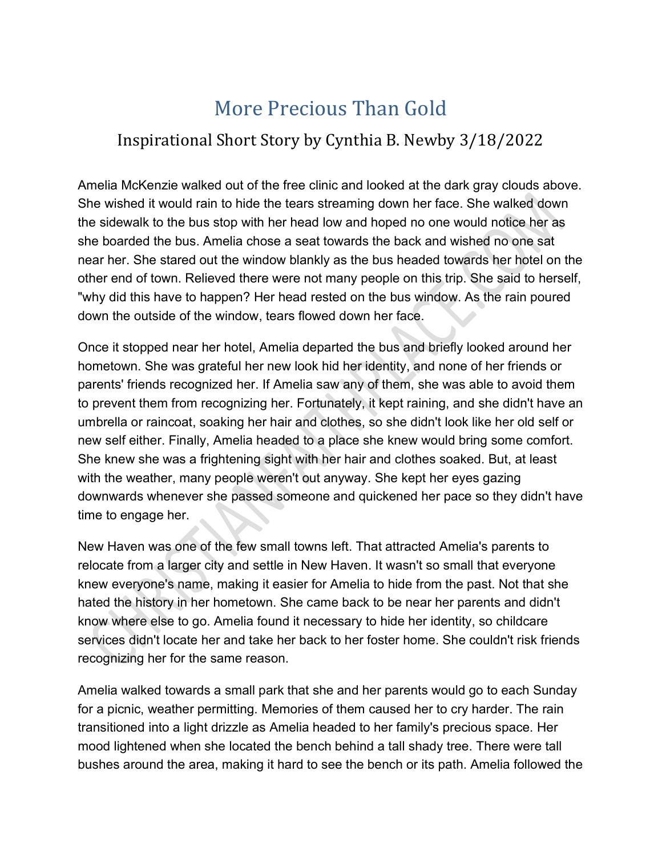## More Precious Than Gold

## Inspirational Short Story by Cynthia B. Newby 3/18/2022

Amelia McKenzie walked out of the free clinic and looked at the dark gray clouds above. She wished it would rain to hide the tears streaming down her face. She walked down the sidewalk to the bus stop with her head low and hoped no one would notice her as she boarded the bus. Amelia chose a seat towards the back and wished no one sat near her. She stared out the window blankly as the bus headed towards her hotel on the other end of town. Relieved there were not many people on this trip. She said to herself, "why did this have to happen? Her head rested on the bus window. As the rain poured down the outside of the window, tears flowed down her face.

Once it stopped near her hotel, Amelia departed the bus and briefly looked around her hometown. She was grateful her new look hid her identity, and none of her friends or parents' friends recognized her. If Amelia saw any of them, she was able to avoid them to prevent them from recognizing her. Fortunately, it kept raining, and she didn't have an umbrella or raincoat, soaking her hair and clothes, so she didn't look like her old self or new self either. Finally, Amelia headed to a place she knew would bring some comfort. She knew she was a frightening sight with her hair and clothes soaked. But, at least with the weather, many people weren't out anyway. She kept her eyes gazing downwards whenever she passed someone and quickened her pace so they didn't have time to engage her.

New Haven was one of the few small towns left. That attracted Amelia's parents to relocate from a larger city and settle in New Haven. It wasn't so small that everyone knew everyone's name, making it easier for Amelia to hide from the past. Not that she hated the history in her hometown. She came back to be near her parents and didn't know where else to go. Amelia found it necessary to hide her identity, so childcare services didn't locate her and take her back to her foster home. She couldn't risk friends recognizing her for the same reason.

Amelia walked towards a small park that she and her parents would go to each Sunday for a picnic, weather permitting. Memories of them caused her to cry harder. The rain transitioned into a light drizzle as Amelia headed to her family's precious space. Her mood lightened when she located the bench behind a tall shady tree. There were tall bushes around the area, making it hard to see the bench or its path. Amelia followed the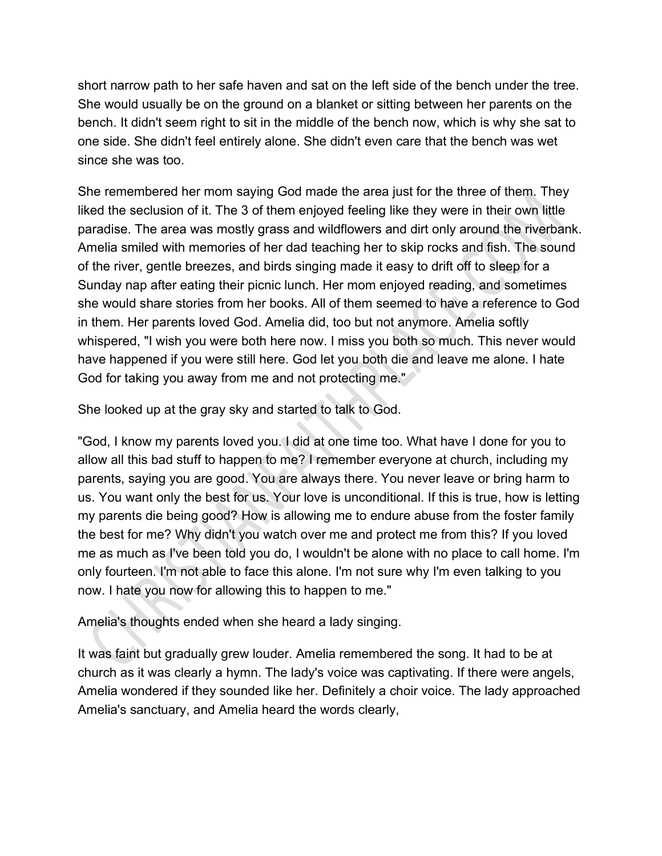short narrow path to her safe haven and sat on the left side of the bench under the tree. She would usually be on the ground on a blanket or sitting between her parents on the bench. It didn't seem right to sit in the middle of the bench now, which is why she sat to one side. She didn't feel entirely alone. She didn't even care that the bench was wet since she was too.

She remembered her mom saying God made the area just for the three of them. They liked the seclusion of it. The 3 of them enjoyed feeling like they were in their own little paradise. The area was mostly grass and wildflowers and dirt only around the riverbank. Amelia smiled with memories of her dad teaching her to skip rocks and fish. The sound of the river, gentle breezes, and birds singing made it easy to drift off to sleep for a Sunday nap after eating their picnic lunch. Her mom enjoyed reading, and sometimes she would share stories from her books. All of them seemed to have a reference to God in them. Her parents loved God. Amelia did, too but not anymore. Amelia softly whispered, "I wish you were both here now. I miss you both so much. This never would have happened if you were still here. God let you both die and leave me alone. I hate God for taking you away from me and not protecting me."

She looked up at the gray sky and started to talk to God.

"God, I know my parents loved you. I did at one time too. What have I done for you to allow all this bad stuff to happen to me? I remember everyone at church, including my parents, saying you are good. You are always there. You never leave or bring harm to us. You want only the best for us. Your love is unconditional. If this is true, how is letting my parents die being good? How is allowing me to endure abuse from the foster family the best for me? Why didn't you watch over me and protect me from this? If you loved me as much as I've been told you do, I wouldn't be alone with no place to call home. I'm only fourteen. I'm not able to face this alone. I'm not sure why I'm even talking to you now. I hate you now for allowing this to happen to me."

Amelia's thoughts ended when she heard a lady singing.

It was faint but gradually grew louder. Amelia remembered the song. It had to be at church as it was clearly a hymn. The lady's voice was captivating. If there were angels, Amelia wondered if they sounded like her. Definitely a choir voice. The lady approached Amelia's sanctuary, and Amelia heard the words clearly,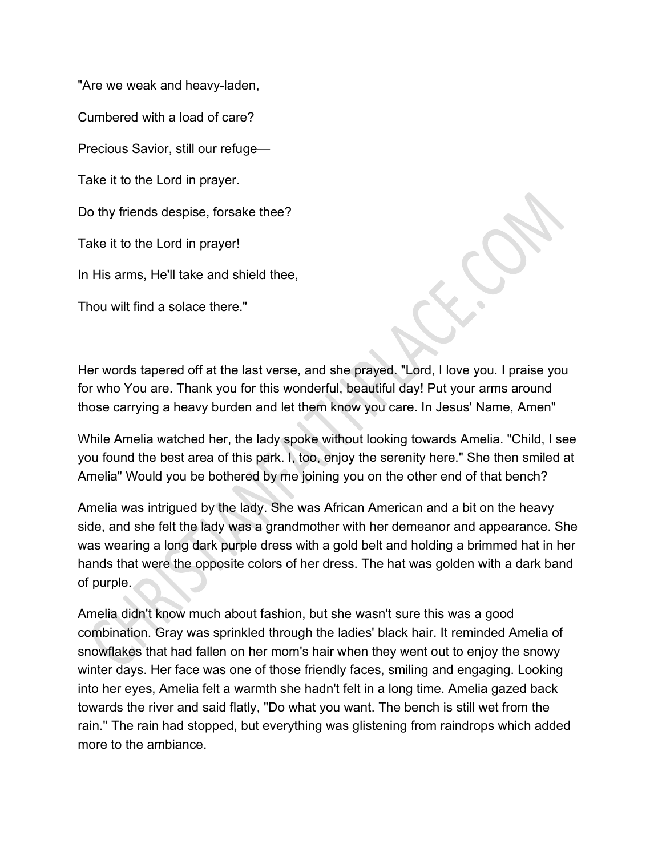"Are we weak and heavy-laden,

Cumbered with a load of care?

Precious Savior, still our refuge—

Take it to the Lord in prayer.

Do thy friends despise, forsake thee?

Take it to the Lord in prayer!

In His arms, He'll take and shield thee,

Thou wilt find a solace there."

Her words tapered off at the last verse, and she prayed. "Lord, I love you. I praise you for who You are. Thank you for this wonderful, beautiful day! Put your arms around those carrying a heavy burden and let them know you care. In Jesus' Name, Amen"

While Amelia watched her, the lady spoke without looking towards Amelia. "Child, I see you found the best area of this park. I, too, enjoy the serenity here." She then smiled at Amelia" Would you be bothered by me joining you on the other end of that bench?

Amelia was intrigued by the lady. She was African American and a bit on the heavy side, and she felt the lady was a grandmother with her demeanor and appearance. She was wearing a long dark purple dress with a gold belt and holding a brimmed hat in her hands that were the opposite colors of her dress. The hat was golden with a dark band of purple.

Amelia didn't know much about fashion, but she wasn't sure this was a good combination. Gray was sprinkled through the ladies' black hair. It reminded Amelia of snowflakes that had fallen on her mom's hair when they went out to enjoy the snowy winter days. Her face was one of those friendly faces, smiling and engaging. Looking into her eyes, Amelia felt a warmth she hadn't felt in a long time. Amelia gazed back towards the river and said flatly, "Do what you want. The bench is still wet from the rain." The rain had stopped, but everything was glistening from raindrops which added more to the ambiance.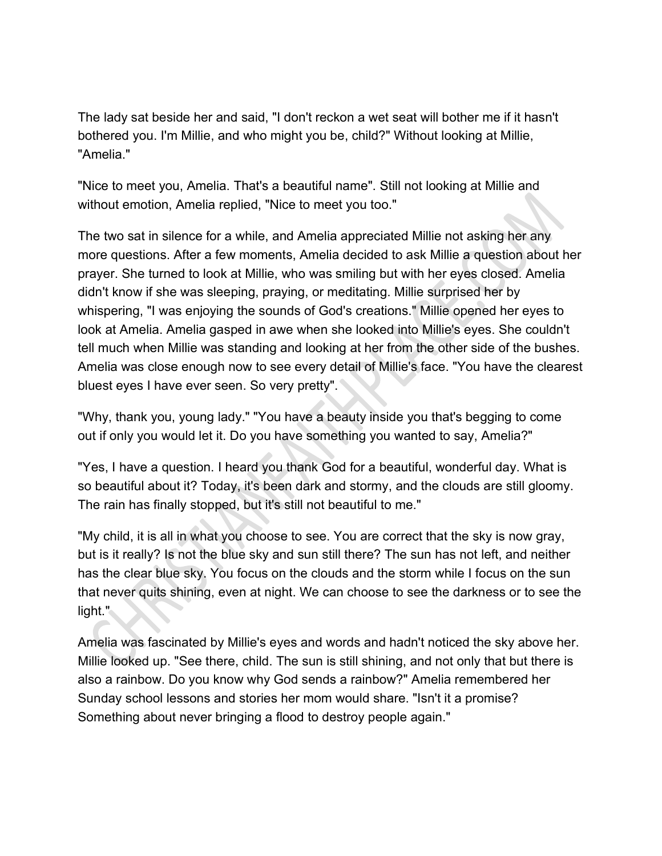The lady sat beside her and said, "I don't reckon a wet seat will bother me if it hasn't bothered you. I'm Millie, and who might you be, child?" Without looking at Millie, "Amelia."

"Nice to meet you, Amelia. That's a beautiful name". Still not looking at Millie and without emotion, Amelia replied, "Nice to meet you too."

The two sat in silence for a while, and Amelia appreciated Millie not asking her any more questions. After a few moments, Amelia decided to ask Millie a question about her prayer. She turned to look at Millie, who was smiling but with her eyes closed. Amelia didn't know if she was sleeping, praying, or meditating. Millie surprised her by whispering, "I was enjoying the sounds of God's creations." Millie opened her eyes to look at Amelia. Amelia gasped in awe when she looked into Millie's eyes. She couldn't tell much when Millie was standing and looking at her from the other side of the bushes. Amelia was close enough now to see every detail of Millie's face. "You have the clearest bluest eyes I have ever seen. So very pretty".

"Why, thank you, young lady." "You have a beauty inside you that's begging to come out if only you would let it. Do you have something you wanted to say, Amelia?"

"Yes, I have a question. I heard you thank God for a beautiful, wonderful day. What is so beautiful about it? Today, it's been dark and stormy, and the clouds are still gloomy. The rain has finally stopped, but it's still not beautiful to me."

"My child, it is all in what you choose to see. You are correct that the sky is now gray, but is it really? Is not the blue sky and sun still there? The sun has not left, and neither has the clear blue sky. You focus on the clouds and the storm while I focus on the sun that never quits shining, even at night. We can choose to see the darkness or to see the light."

Amelia was fascinated by Millie's eyes and words and hadn't noticed the sky above her. Millie looked up. "See there, child. The sun is still shining, and not only that but there is also a rainbow. Do you know why God sends a rainbow?" Amelia remembered her Sunday school lessons and stories her mom would share. "Isn't it a promise? Something about never bringing a flood to destroy people again."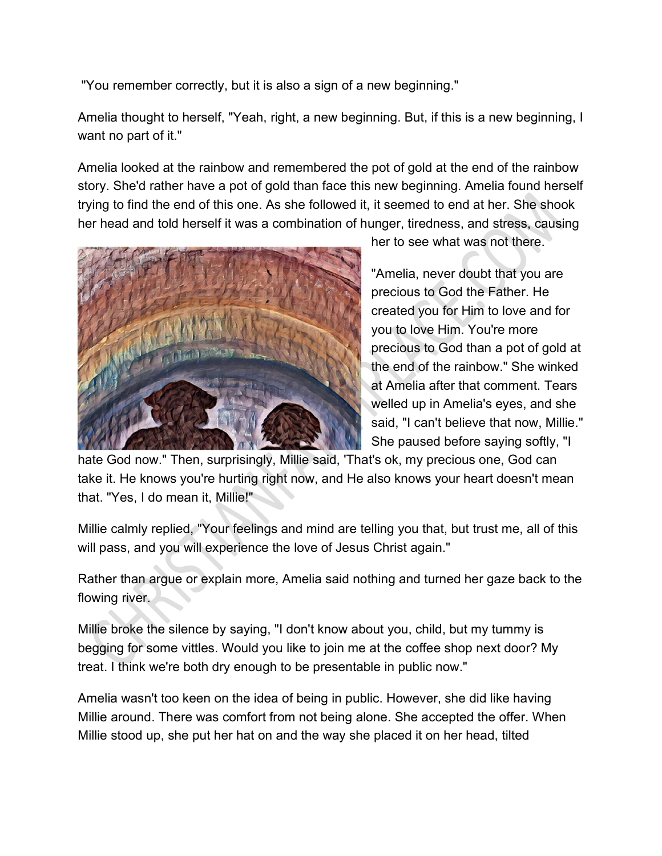"You remember correctly, but it is also a sign of a new beginning."

Amelia thought to herself, "Yeah, right, a new beginning. But, if this is a new beginning, I want no part of it."

Amelia looked at the rainbow and remembered the pot of gold at the end of the rainbow story. She'd rather have a pot of gold than face this new beginning. Amelia found herself trying to find the end of this one. As she followed it, it seemed to end at her. She shook her head and told herself it was a combination of hunger, tiredness, and stress, causing



her to see what was not there.

"Amelia, never doubt that you are precious to God the Father. He created you for Him to love and for you to love Him. You're more precious to God than a pot of gold at the end of the rainbow." She winked at Amelia after that comment. Tears welled up in Amelia's eyes, and she said, "I can't believe that now, Millie." She paused before saying softly, "I

hate God now." Then, surprisingly, Millie said, 'That's ok, my precious one, God can take it. He knows you're hurting right now, and He also knows your heart doesn't mean that. "Yes, I do mean it, Millie!"

Millie calmly replied, "Your feelings and mind are telling you that, but trust me, all of this will pass, and you will experience the love of Jesus Christ again."

Rather than argue or explain more, Amelia said nothing and turned her gaze back to the flowing river.

Millie broke the silence by saying, "I don't know about you, child, but my tummy is begging for some vittles. Would you like to join me at the coffee shop next door? My treat. I think we're both dry enough to be presentable in public now."

Amelia wasn't too keen on the idea of being in public. However, she did like having Millie around. There was comfort from not being alone. She accepted the offer. When Millie stood up, she put her hat on and the way she placed it on her head, tilted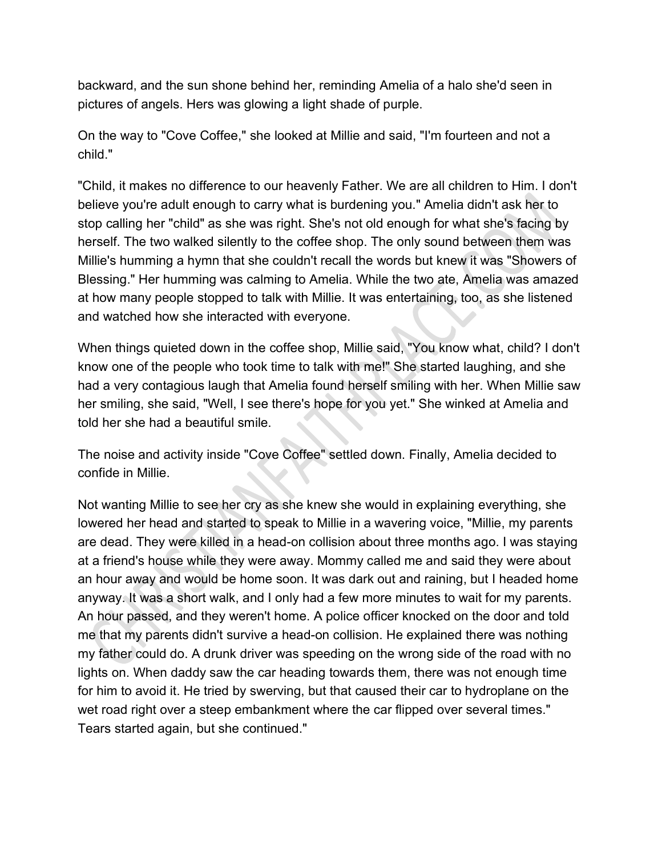backward, and the sun shone behind her, reminding Amelia of a halo she'd seen in pictures of angels. Hers was glowing a light shade of purple.

On the way to "Cove Coffee," she looked at Millie and said, "I'm fourteen and not a child."

"Child, it makes no difference to our heavenly Father. We are all children to Him. I don't believe you're adult enough to carry what is burdening you." Amelia didn't ask her to stop calling her "child" as she was right. She's not old enough for what she's facing by herself. The two walked silently to the coffee shop. The only sound between them was Millie's humming a hymn that she couldn't recall the words but knew it was "Showers of Blessing." Her humming was calming to Amelia. While the two ate, Amelia was amazed at how many people stopped to talk with Millie. It was entertaining, too, as she listened and watched how she interacted with everyone.

When things quieted down in the coffee shop, Millie said, "You know what, child? I don't know one of the people who took time to talk with me!" She started laughing, and she had a very contagious laugh that Amelia found herself smiling with her. When Millie saw her smiling, she said, "Well, I see there's hope for you yet." She winked at Amelia and told her she had a beautiful smile.

The noise and activity inside "Cove Coffee" settled down. Finally, Amelia decided to confide in Millie.

Not wanting Millie to see her cry as she knew she would in explaining everything, she lowered her head and started to speak to Millie in a wavering voice, "Millie, my parents are dead. They were killed in a head-on collision about three months ago. I was staying at a friend's house while they were away. Mommy called me and said they were about an hour away and would be home soon. It was dark out and raining, but I headed home anyway. It was a short walk, and I only had a few more minutes to wait for my parents. An hour passed, and they weren't home. A police officer knocked on the door and told me that my parents didn't survive a head-on collision. He explained there was nothing my father could do. A drunk driver was speeding on the wrong side of the road with no lights on. When daddy saw the car heading towards them, there was not enough time for him to avoid it. He tried by swerving, but that caused their car to hydroplane on the wet road right over a steep embankment where the car flipped over several times." Tears started again, but she continued."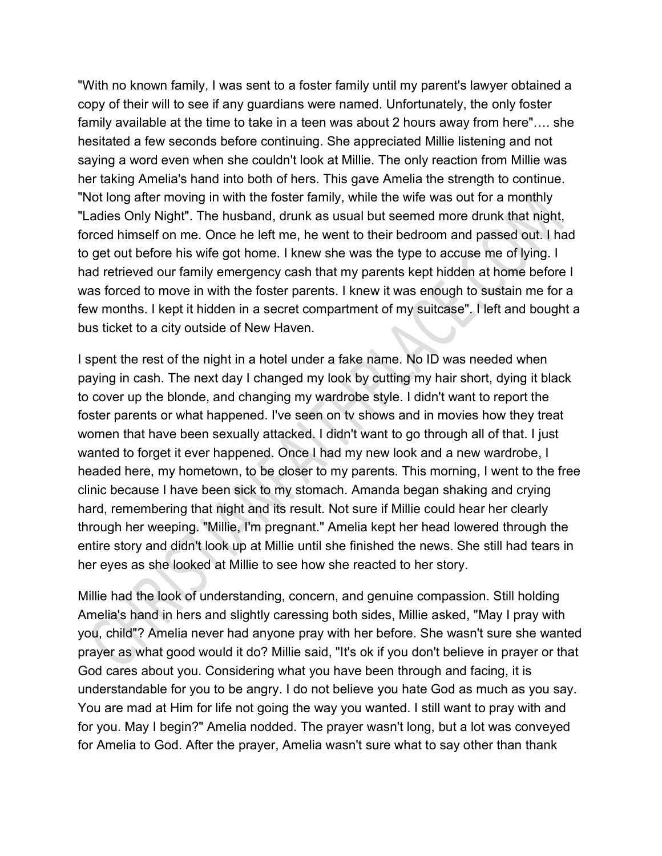"With no known family, I was sent to a foster family until my parent's lawyer obtained a copy of their will to see if any guardians were named. Unfortunately, the only foster family available at the time to take in a teen was about 2 hours away from here"…. she hesitated a few seconds before continuing. She appreciated Millie listening and not saying a word even when she couldn't look at Millie. The only reaction from Millie was her taking Amelia's hand into both of hers. This gave Amelia the strength to continue. "Not long after moving in with the foster family, while the wife was out for a monthly "Ladies Only Night". The husband, drunk as usual but seemed more drunk that night, forced himself on me. Once he left me, he went to their bedroom and passed out. I had to get out before his wife got home. I knew she was the type to accuse me of lying. I had retrieved our family emergency cash that my parents kept hidden at home before I was forced to move in with the foster parents. I knew it was enough to sustain me for a few months. I kept it hidden in a secret compartment of my suitcase". I left and bought a bus ticket to a city outside of New Haven.

I spent the rest of the night in a hotel under a fake name. No ID was needed when paying in cash. The next day I changed my look by cutting my hair short, dying it black to cover up the blonde, and changing my wardrobe style. I didn't want to report the foster parents or what happened. I've seen on tv shows and in movies how they treat women that have been sexually attacked. I didn't want to go through all of that. I just wanted to forget it ever happened. Once I had my new look and a new wardrobe, I headed here, my hometown, to be closer to my parents. This morning, I went to the free clinic because I have been sick to my stomach. Amanda began shaking and crying hard, remembering that night and its result. Not sure if Millie could hear her clearly through her weeping. "Millie, I'm pregnant." Amelia kept her head lowered through the entire story and didn't look up at Millie until she finished the news. She still had tears in her eyes as she looked at Millie to see how she reacted to her story.

Millie had the look of understanding, concern, and genuine compassion. Still holding Amelia's hand in hers and slightly caressing both sides, Millie asked, "May I pray with you, child"? Amelia never had anyone pray with her before. She wasn't sure she wanted prayer as what good would it do? Millie said, "It's ok if you don't believe in prayer or that God cares about you. Considering what you have been through and facing, it is understandable for you to be angry. I do not believe you hate God as much as you say. You are mad at Him for life not going the way you wanted. I still want to pray with and for you. May I begin?" Amelia nodded. The prayer wasn't long, but a lot was conveyed for Amelia to God. After the prayer, Amelia wasn't sure what to say other than thank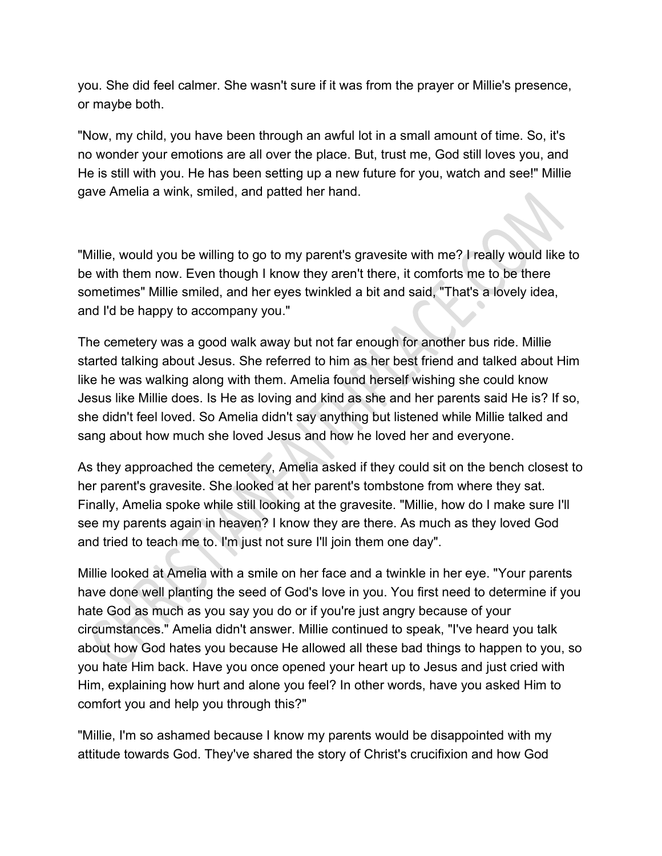you. She did feel calmer. She wasn't sure if it was from the prayer or Millie's presence, or maybe both.

"Now, my child, you have been through an awful lot in a small amount of time. So, it's no wonder your emotions are all over the place. But, trust me, God still loves you, and He is still with you. He has been setting up a new future for you, watch and see!" Millie gave Amelia a wink, smiled, and patted her hand.

"Millie, would you be willing to go to my parent's gravesite with me? I really would like to be with them now. Even though I know they aren't there, it comforts me to be there sometimes" Millie smiled, and her eyes twinkled a bit and said, "That's a lovely idea, and I'd be happy to accompany you."

The cemetery was a good walk away but not far enough for another bus ride. Millie started talking about Jesus. She referred to him as her best friend and talked about Him like he was walking along with them. Amelia found herself wishing she could know Jesus like Millie does. Is He as loving and kind as she and her parents said He is? If so, she didn't feel loved. So Amelia didn't say anything but listened while Millie talked and sang about how much she loved Jesus and how he loved her and everyone.

As they approached the cemetery, Amelia asked if they could sit on the bench closest to her parent's gravesite. She looked at her parent's tombstone from where they sat. Finally, Amelia spoke while still looking at the gravesite. "Millie, how do I make sure I'll see my parents again in heaven? I know they are there. As much as they loved God and tried to teach me to. I'm just not sure I'll join them one day".

Millie looked at Amelia with a smile on her face and a twinkle in her eye. "Your parents have done well planting the seed of God's love in you. You first need to determine if you hate God as much as you say you do or if you're just angry because of your circumstances." Amelia didn't answer. Millie continued to speak, "I've heard you talk about how God hates you because He allowed all these bad things to happen to you, so you hate Him back. Have you once opened your heart up to Jesus and just cried with Him, explaining how hurt and alone you feel? In other words, have you asked Him to comfort you and help you through this?"

"Millie, I'm so ashamed because I know my parents would be disappointed with my attitude towards God. They've shared the story of Christ's crucifixion and how God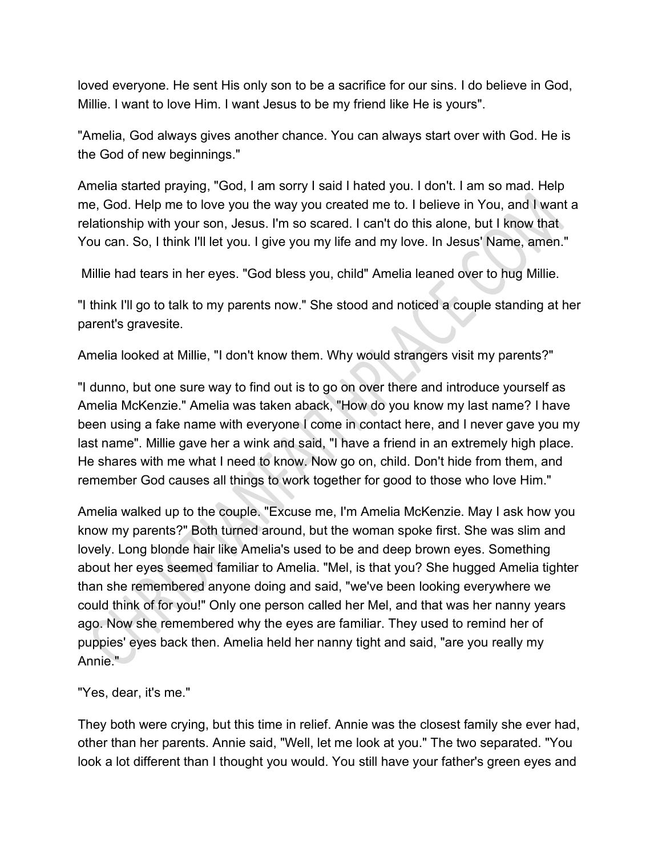loved everyone. He sent His only son to be a sacrifice for our sins. I do believe in God, Millie. I want to love Him. I want Jesus to be my friend like He is yours".

"Amelia, God always gives another chance. You can always start over with God. He is the God of new beginnings."

Amelia started praying, "God, I am sorry I said I hated you. I don't. I am so mad. Help me, God. Help me to love you the way you created me to. I believe in You, and I want a relationship with your son, Jesus. I'm so scared. I can't do this alone, but I know that You can. So, I think I'll let you. I give you my life and my love. In Jesus' Name, amen."

Millie had tears in her eyes. "God bless you, child" Amelia leaned over to hug Millie.

"I think I'll go to talk to my parents now." She stood and noticed a couple standing at her parent's gravesite.

Amelia looked at Millie, "I don't know them. Why would strangers visit my parents?"

"I dunno, but one sure way to find out is to go on over there and introduce yourself as Amelia McKenzie." Amelia was taken aback, "How do you know my last name? I have been using a fake name with everyone I come in contact here, and I never gave you my last name". Millie gave her a wink and said, "I have a friend in an extremely high place. He shares with me what I need to know. Now go on, child. Don't hide from them, and remember God causes all things to work together for good to those who love Him."

Amelia walked up to the couple. "Excuse me, I'm Amelia McKenzie. May I ask how you know my parents?" Both turned around, but the woman spoke first. She was slim and lovely. Long blonde hair like Amelia's used to be and deep brown eyes. Something about her eyes seemed familiar to Amelia. "Mel, is that you? She hugged Amelia tighter than she remembered anyone doing and said, "we've been looking everywhere we could think of for you!" Only one person called her Mel, and that was her nanny years ago. Now she remembered why the eyes are familiar. They used to remind her of puppies' eyes back then. Amelia held her nanny tight and said, "are you really my Annie."

"Yes, dear, it's me."

They both were crying, but this time in relief. Annie was the closest family she ever had, other than her parents. Annie said, "Well, let me look at you." The two separated. "You look a lot different than I thought you would. You still have your father's green eyes and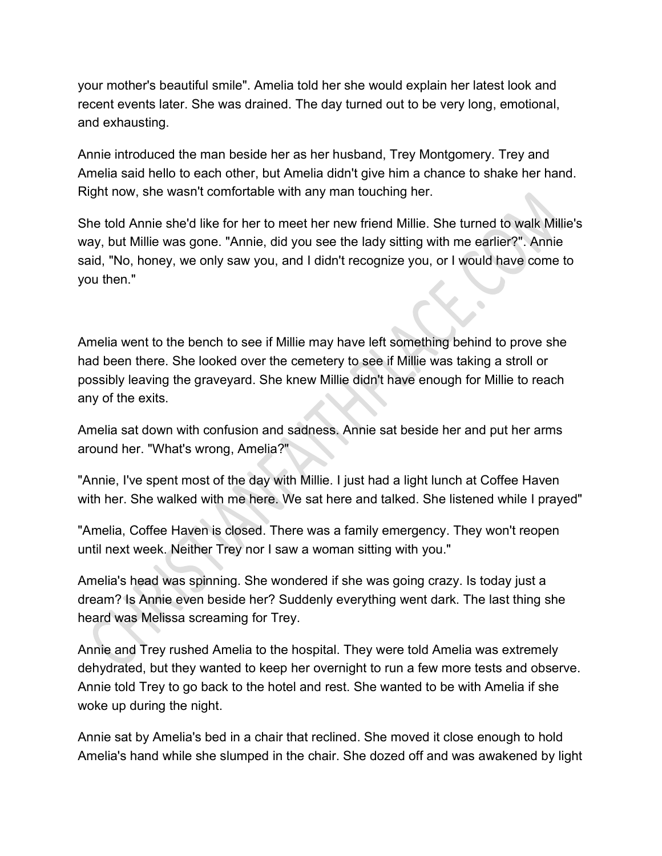your mother's beautiful smile". Amelia told her she would explain her latest look and recent events later. She was drained. The day turned out to be very long, emotional, and exhausting.

Annie introduced the man beside her as her husband, Trey Montgomery. Trey and Amelia said hello to each other, but Amelia didn't give him a chance to shake her hand. Right now, she wasn't comfortable with any man touching her.

She told Annie she'd like for her to meet her new friend Millie. She turned to walk Millie's way, but Millie was gone. "Annie, did you see the lady sitting with me earlier?". Annie said, "No, honey, we only saw you, and I didn't recognize you, or I would have come to you then."

Amelia went to the bench to see if Millie may have left something behind to prove she had been there. She looked over the cemetery to see if Millie was taking a stroll or possibly leaving the graveyard. She knew Millie didn't have enough for Millie to reach any of the exits.

Amelia sat down with confusion and sadness. Annie sat beside her and put her arms around her. "What's wrong, Amelia?"

"Annie, I've spent most of the day with Millie. I just had a light lunch at Coffee Haven with her. She walked with me here. We sat here and talked. She listened while I prayed"

"Amelia, Coffee Haven is closed. There was a family emergency. They won't reopen until next week. Neither Trey nor I saw a woman sitting with you."

Amelia's head was spinning. She wondered if she was going crazy. Is today just a dream? Is Annie even beside her? Suddenly everything went dark. The last thing she heard was Melissa screaming for Trey.

Annie and Trey rushed Amelia to the hospital. They were told Amelia was extremely dehydrated, but they wanted to keep her overnight to run a few more tests and observe. Annie told Trey to go back to the hotel and rest. She wanted to be with Amelia if she woke up during the night.

Annie sat by Amelia's bed in a chair that reclined. She moved it close enough to hold Amelia's hand while she slumped in the chair. She dozed off and was awakened by light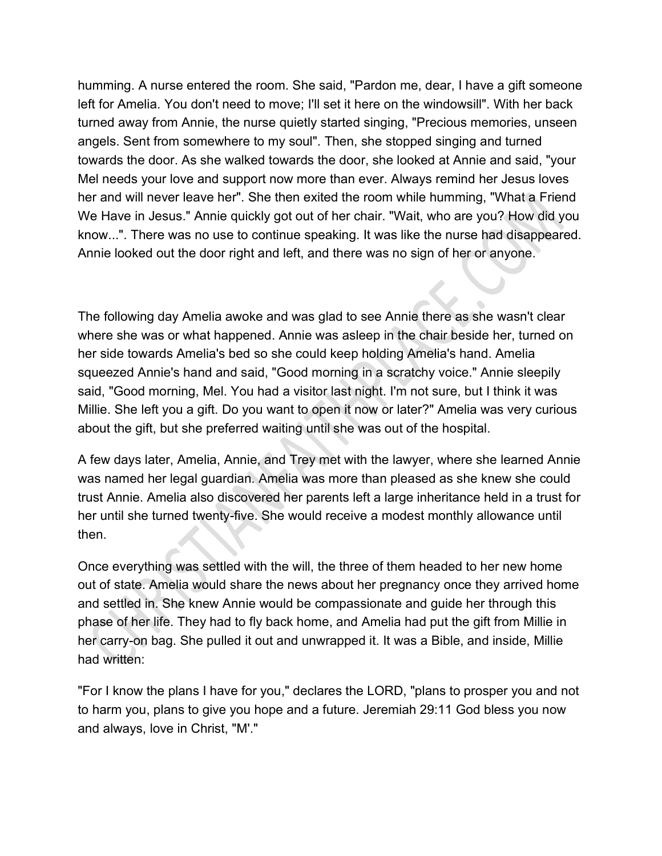humming. A nurse entered the room. She said, "Pardon me, dear, I have a gift someone left for Amelia. You don't need to move; I'll set it here on the windowsill". With her back turned away from Annie, the nurse quietly started singing, "Precious memories, unseen angels. Sent from somewhere to my soul". Then, she stopped singing and turned towards the door. As she walked towards the door, she looked at Annie and said, "your Mel needs your love and support now more than ever. Always remind her Jesus loves her and will never leave her". She then exited the room while humming, "What a Friend We Have in Jesus." Annie quickly got out of her chair. "Wait, who are you? How did you know...". There was no use to continue speaking. It was like the nurse had disappeared. Annie looked out the door right and left, and there was no sign of her or anyone.

The following day Amelia awoke and was glad to see Annie there as she wasn't clear where she was or what happened. Annie was asleep in the chair beside her, turned on her side towards Amelia's bed so she could keep holding Amelia's hand. Amelia squeezed Annie's hand and said, "Good morning in a scratchy voice." Annie sleepily said, "Good morning, Mel. You had a visitor last night. I'm not sure, but I think it was Millie. She left you a gift. Do you want to open it now or later?" Amelia was very curious about the gift, but she preferred waiting until she was out of the hospital.

A few days later, Amelia, Annie, and Trey met with the lawyer, where she learned Annie was named her legal guardian. Amelia was more than pleased as she knew she could trust Annie. Amelia also discovered her parents left a large inheritance held in a trust for her until she turned twenty-five. She would receive a modest monthly allowance until then.

Once everything was settled with the will, the three of them headed to her new home out of state. Amelia would share the news about her pregnancy once they arrived home and settled in. She knew Annie would be compassionate and guide her through this phase of her life. They had to fly back home, and Amelia had put the gift from Millie in her carry-on bag. She pulled it out and unwrapped it. It was a Bible, and inside, Millie had written:

"For I know the plans I have for you," declares the LORD, "plans to prosper you and not to harm you, plans to give you hope and a future. Jeremiah 29:11 God bless you now and always, love in Christ, "M'."